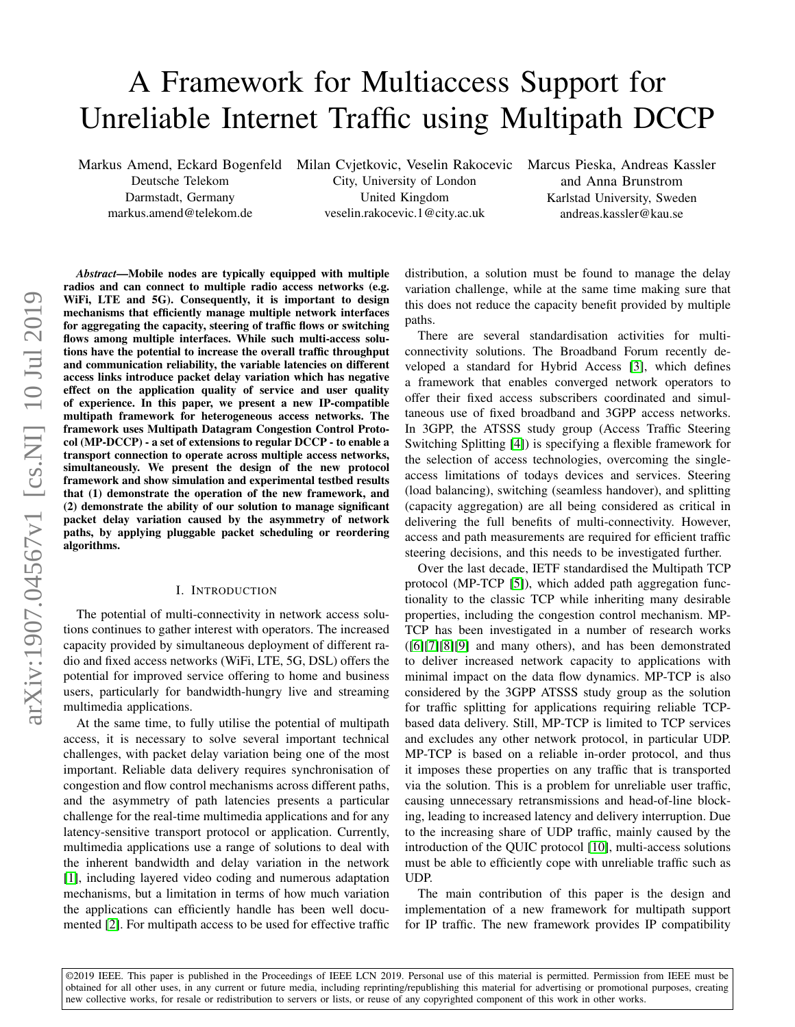# A Framework for Multiaccess Support for Unreliable Internet Traffic using Multipath DCCP

Markus Amend, Eckard Bogenfeld Milan Cvjetkovic, Veselin Rakocevic Marcus Pieska, Andreas Kassler

Deutsche Telekom Darmstadt, Germany markus.amend@telekom.de

City, University of London United Kingdom veselin.rakocevic.1@city.ac.uk

and Anna Brunstrom Karlstad University, Sweden andreas.kassler@kau.se

*Abstract*—Mobile nodes are typically equipped with multiple radios and can connect to multiple radio access networks (e.g. WiFi, LTE and 5G). Consequently, it is important to design mechanisms that efficiently manage multiple network interfaces for aggregating the capacity, steering of traffic flows or switching flows among multiple interfaces. While such multi-access solutions have the potential to increase the overall traffic throughput and communication reliability, the variable latencies on different access links introduce packet delay variation which has negative effect on the application quality of service and user quality of experience. In this paper, we present a new IP-compatible multipath framework for heterogeneous access networks. The framework uses Multipath Datagram Congestion Control Protocol (MP-DCCP) - a set of extensions to regular DCCP - to enable a transport connection to operate across multiple access networks, simultaneously. We present the design of the new protocol framework and show simulation and experimental testbed results that (1) demonstrate the operation of the new framework, and (2) demonstrate the ability of our solution to manage significant packet delay variation caused by the asymmetry of network paths, by applying pluggable packet scheduling or reordering algorithms.

## I. INTRODUCTION

The potential of multi-connectivity in network access solutions continues to gather interest with operators. The increased capacity provided by simultaneous deployment of different radio and fixed access networks (WiFi, LTE, 5G, DSL) offers the potential for improved service offering to home and business users, particularly for bandwidth-hungry live and streaming multimedia applications.

At the same time, to fully utilise the potential of multipath access, it is necessary to solve several important technical challenges, with packet delay variation being one of the most important. Reliable data delivery requires synchronisation of congestion and flow control mechanisms across different paths, and the asymmetry of path latencies presents a particular challenge for the real-time multimedia applications and for any latency-sensitive transport protocol or application. Currently, multimedia applications use a range of solutions to deal with the inherent bandwidth and delay variation in the network [\[1\]](#page-7-0), including layered video coding and numerous adaptation mechanisms, but a limitation in terms of how much variation the applications can efficiently handle has been well documented [\[2\]](#page-7-1). For multipath access to be used for effective traffic

distribution, a solution must be found to manage the delay variation challenge, while at the same time making sure that this does not reduce the capacity benefit provided by multiple paths.

There are several standardisation activities for multiconnectivity solutions. The Broadband Forum recently developed a standard for Hybrid Access [\[3\]](#page-7-2), which defines a framework that enables converged network operators to offer their fixed access subscribers coordinated and simultaneous use of fixed broadband and 3GPP access networks. In 3GPP, the ATSSS study group (Access Traffic Steering Switching Splitting [\[4\]](#page-7-3)) is specifying a flexible framework for the selection of access technologies, overcoming the singleaccess limitations of todays devices and services. Steering (load balancing), switching (seamless handover), and splitting (capacity aggregation) are all being considered as critical in delivering the full benefits of multi-connectivity. However, access and path measurements are required for efficient traffic steering decisions, and this needs to be investigated further.

Over the last decade, IETF standardised the Multipath TCP protocol (MP-TCP [\[5\]](#page-7-4)), which added path aggregation functionality to the classic TCP while inheriting many desirable properties, including the congestion control mechanism. MP-TCP has been investigated in a number of research works ([\[6\]](#page-7-5)[\[7\]](#page-7-6)[\[8\]](#page-7-7)[\[9\]](#page-7-8) and many others), and has been demonstrated to deliver increased network capacity to applications with minimal impact on the data flow dynamics. MP-TCP is also considered by the 3GPP ATSSS study group as the solution for traffic splitting for applications requiring reliable TCPbased data delivery. Still, MP-TCP is limited to TCP services and excludes any other network protocol, in particular UDP. MP-TCP is based on a reliable in-order protocol, and thus it imposes these properties on any traffic that is transported via the solution. This is a problem for unreliable user traffic, causing unnecessary retransmissions and head-of-line blocking, leading to increased latency and delivery interruption. Due to the increasing share of UDP traffic, mainly caused by the introduction of the QUIC protocol [\[10\]](#page-7-9), multi-access solutions must be able to efficiently cope with unreliable traffic such as UDP.

The main contribution of this paper is the design and implementation of a new framework for multipath support for IP traffic. The new framework provides IP compatibility

©2019 IEEE. This paper is published in the Proceedings of IEEE LCN 2019. Personal use of this material is permitted. Permission from IEEE must be obtained for all other uses, in any current or future media, including reprinting/republishing this material for advertising or promotional purposes, creating new collective works, for resale or redistribution to servers or lists, or reuse of any copyrighted component of this work in other works.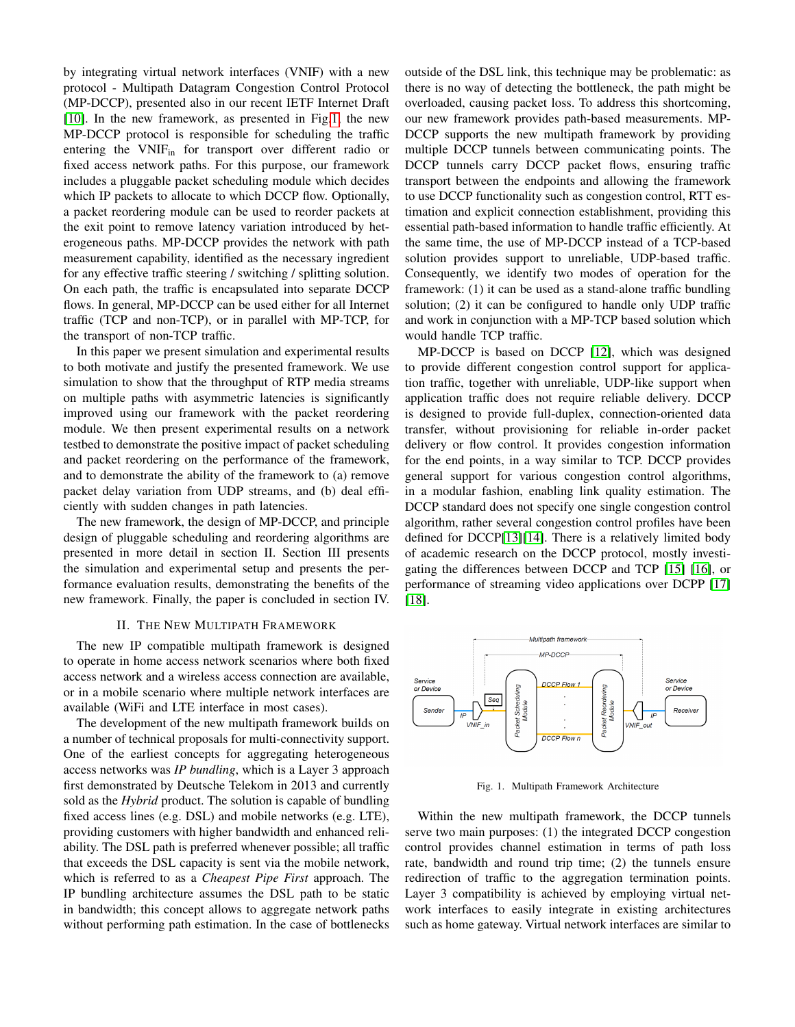by integrating virtual network interfaces (VNIF) with a new protocol - Multipath Datagram Congestion Control Protocol (MP-DCCP), presented also in our recent IETF Internet Draft [\[10\]](#page-7-9). In the new framework, as presented in Fig[.1,](#page-1-0) the new MP-DCCP protocol is responsible for scheduling the traffic entering the VNIFin for transport over different radio or fixed access network paths. For this purpose, our framework includes a pluggable packet scheduling module which decides which IP packets to allocate to which DCCP flow. Optionally, a packet reordering module can be used to reorder packets at the exit point to remove latency variation introduced by heterogeneous paths. MP-DCCP provides the network with path measurement capability, identified as the necessary ingredient for any effective traffic steering / switching / splitting solution. On each path, the traffic is encapsulated into separate DCCP flows. In general, MP-DCCP can be used either for all Internet traffic (TCP and non-TCP), or in parallel with MP-TCP, for the transport of non-TCP traffic.

In this paper we present simulation and experimental results to both motivate and justify the presented framework. We use simulation to show that the throughput of RTP media streams on multiple paths with asymmetric latencies is significantly improved using our framework with the packet reordering module. We then present experimental results on a network testbed to demonstrate the positive impact of packet scheduling and packet reordering on the performance of the framework, and to demonstrate the ability of the framework to (a) remove packet delay variation from UDP streams, and (b) deal efficiently with sudden changes in path latencies.

The new framework, the design of MP-DCCP, and principle design of pluggable scheduling and reordering algorithms are presented in more detail in section II. Section III presents the simulation and experimental setup and presents the performance evaluation results, demonstrating the benefits of the new framework. Finally, the paper is concluded in section IV.

#### II. THE NEW MULTIPATH FRAMEWORK

The new IP compatible multipath framework is designed to operate in home access network scenarios where both fixed access network and a wireless access connection are available, or in a mobile scenario where multiple network interfaces are available (WiFi and LTE interface in most cases).

The development of the new multipath framework builds on a number of technical proposals for multi-connectivity support. One of the earliest concepts for aggregating heterogeneous access networks was *IP bundling*, which is a Layer 3 approach first demonstrated by Deutsche Telekom in 2013 and currently sold as the *Hybrid* product. The solution is capable of bundling fixed access lines (e.g. DSL) and mobile networks (e.g. LTE), providing customers with higher bandwidth and enhanced reliability. The DSL path is preferred whenever possible; all traffic that exceeds the DSL capacity is sent via the mobile network, which is referred to as a *Cheapest Pipe First* approach. The IP bundling architecture assumes the DSL path to be static in bandwidth; this concept allows to aggregate network paths without performing path estimation. In the case of bottlenecks outside of the DSL link, this technique may be problematic: as there is no way of detecting the bottleneck, the path might be overloaded, causing packet loss. To address this shortcoming, our new framework provides path-based measurements. MP-DCCP supports the new multipath framework by providing multiple DCCP tunnels between communicating points. The DCCP tunnels carry DCCP packet flows, ensuring traffic transport between the endpoints and allowing the framework to use DCCP functionality such as congestion control, RTT estimation and explicit connection establishment, providing this essential path-based information to handle traffic efficiently. At the same time, the use of MP-DCCP instead of a TCP-based solution provides support to unreliable, UDP-based traffic. Consequently, we identify two modes of operation for the framework: (1) it can be used as a stand-alone traffic bundling solution; (2) it can be configured to handle only UDP traffic and work in conjunction with a MP-TCP based solution which would handle TCP traffic.

MP-DCCP is based on DCCP [\[12\]](#page-7-10), which was designed to provide different congestion control support for application traffic, together with unreliable, UDP-like support when application traffic does not require reliable delivery. DCCP is designed to provide full-duplex, connection-oriented data transfer, without provisioning for reliable in-order packet delivery or flow control. It provides congestion information for the end points, in a way similar to TCP. DCCP provides general support for various congestion control algorithms, in a modular fashion, enabling link quality estimation. The DCCP standard does not specify one single congestion control algorithm, rather several congestion control profiles have been defined for DCCP[\[13\]](#page-7-11)[\[14\]](#page-7-12). There is a relatively limited body of academic research on the DCCP protocol, mostly investigating the differences between DCCP and TCP [\[15\]](#page-7-13) [\[16\]](#page-7-14), or performance of streaming video applications over DCPP [\[17\]](#page-7-15) [\[18\]](#page-7-16).



<span id="page-1-0"></span>Fig. 1. Multipath Framework Architecture

Within the new multipath framework, the DCCP tunnels serve two main purposes: (1) the integrated DCCP congestion control provides channel estimation in terms of path loss rate, bandwidth and round trip time; (2) the tunnels ensure redirection of traffic to the aggregation termination points. Layer 3 compatibility is achieved by employing virtual network interfaces to easily integrate in existing architectures such as home gateway. Virtual network interfaces are similar to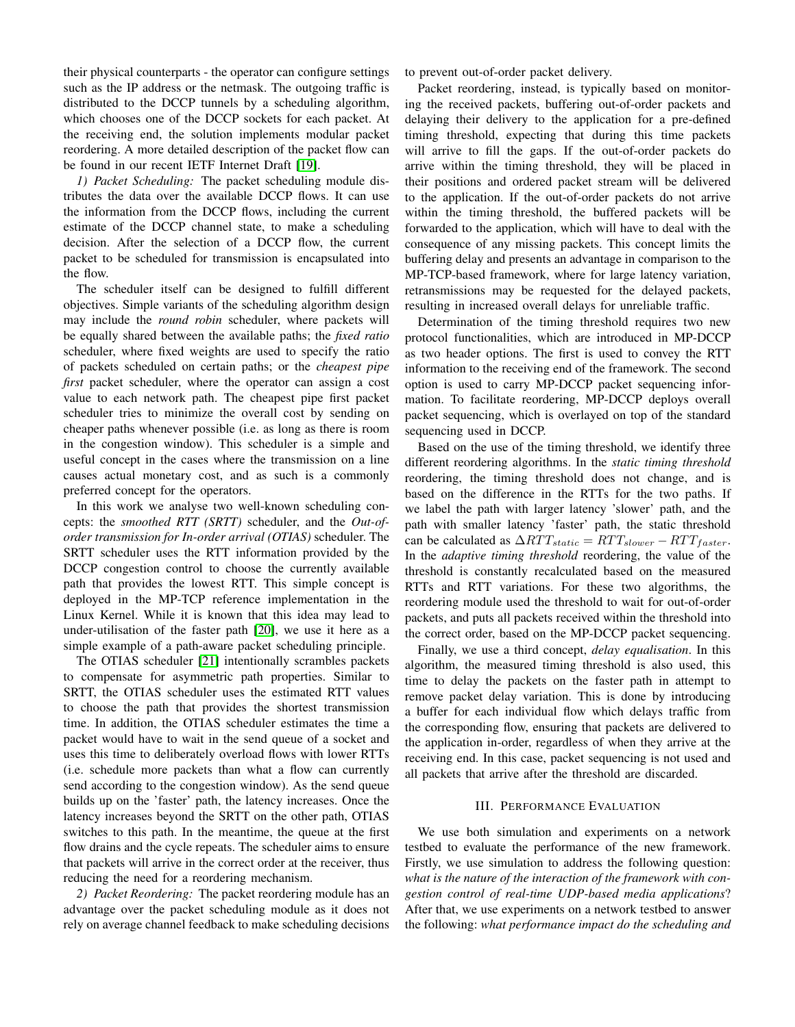their physical counterparts - the operator can configure settings such as the IP address or the netmask. The outgoing traffic is distributed to the DCCP tunnels by a scheduling algorithm, which chooses one of the DCCP sockets for each packet. At the receiving end, the solution implements modular packet reordering. A more detailed description of the packet flow can be found in our recent IETF Internet Draft [\[19\]](#page-7-17).

*1) Packet Scheduling:* The packet scheduling module distributes the data over the available DCCP flows. It can use the information from the DCCP flows, including the current estimate of the DCCP channel state, to make a scheduling decision. After the selection of a DCCP flow, the current packet to be scheduled for transmission is encapsulated into the flow.

The scheduler itself can be designed to fulfill different objectives. Simple variants of the scheduling algorithm design may include the *round robin* scheduler, where packets will be equally shared between the available paths; the *fixed ratio* scheduler, where fixed weights are used to specify the ratio of packets scheduled on certain paths; or the *cheapest pipe first* packet scheduler, where the operator can assign a cost value to each network path. The cheapest pipe first packet scheduler tries to minimize the overall cost by sending on cheaper paths whenever possible (i.e. as long as there is room in the congestion window). This scheduler is a simple and useful concept in the cases where the transmission on a line causes actual monetary cost, and as such is a commonly preferred concept for the operators.

In this work we analyse two well-known scheduling concepts: the *smoothed RTT (SRTT)* scheduler, and the *Out-oforder transmission for In-order arrival (OTIAS)* scheduler. The SRTT scheduler uses the RTT information provided by the DCCP congestion control to choose the currently available path that provides the lowest RTT. This simple concept is deployed in the MP-TCP reference implementation in the Linux Kernel. While it is known that this idea may lead to under-utilisation of the faster path [\[20\]](#page-7-18), we use it here as a simple example of a path-aware packet scheduling principle.

The OTIAS scheduler [\[21\]](#page-7-19) intentionally scrambles packets to compensate for asymmetric path properties. Similar to SRTT, the OTIAS scheduler uses the estimated RTT values to choose the path that provides the shortest transmission time. In addition, the OTIAS scheduler estimates the time a packet would have to wait in the send queue of a socket and uses this time to deliberately overload flows with lower RTTs (i.e. schedule more packets than what a flow can currently send according to the congestion window). As the send queue builds up on the 'faster' path, the latency increases. Once the latency increases beyond the SRTT on the other path, OTIAS switches to this path. In the meantime, the queue at the first flow drains and the cycle repeats. The scheduler aims to ensure that packets will arrive in the correct order at the receiver, thus reducing the need for a reordering mechanism.

*2) Packet Reordering:* The packet reordering module has an advantage over the packet scheduling module as it does not rely on average channel feedback to make scheduling decisions to prevent out-of-order packet delivery.

Packet reordering, instead, is typically based on monitoring the received packets, buffering out-of-order packets and delaying their delivery to the application for a pre-defined timing threshold, expecting that during this time packets will arrive to fill the gaps. If the out-of-order packets do arrive within the timing threshold, they will be placed in their positions and ordered packet stream will be delivered to the application. If the out-of-order packets do not arrive within the timing threshold, the buffered packets will be forwarded to the application, which will have to deal with the consequence of any missing packets. This concept limits the buffering delay and presents an advantage in comparison to the MP-TCP-based framework, where for large latency variation, retransmissions may be requested for the delayed packets, resulting in increased overall delays for unreliable traffic.

Determination of the timing threshold requires two new protocol functionalities, which are introduced in MP-DCCP as two header options. The first is used to convey the RTT information to the receiving end of the framework. The second option is used to carry MP-DCCP packet sequencing information. To facilitate reordering, MP-DCCP deploys overall packet sequencing, which is overlayed on top of the standard sequencing used in DCCP.

Based on the use of the timing threshold, we identify three different reordering algorithms. In the *static timing threshold* reordering, the timing threshold does not change, and is based on the difference in the RTTs for the two paths. If we label the path with larger latency 'slower' path, and the path with smaller latency 'faster' path, the static threshold can be calculated as  $\Delta RTT_{static} = RTT_{slower} - RTT_{faster}$ . In the *adaptive timing threshold* reordering, the value of the threshold is constantly recalculated based on the measured RTTs and RTT variations. For these two algorithms, the reordering module used the threshold to wait for out-of-order packets, and puts all packets received within the threshold into the correct order, based on the MP-DCCP packet sequencing.

Finally, we use a third concept, *delay equalisation*. In this algorithm, the measured timing threshold is also used, this time to delay the packets on the faster path in attempt to remove packet delay variation. This is done by introducing a buffer for each individual flow which delays traffic from the corresponding flow, ensuring that packets are delivered to the application in-order, regardless of when they arrive at the receiving end. In this case, packet sequencing is not used and all packets that arrive after the threshold are discarded.

### III. PERFORMANCE EVALUATION

We use both simulation and experiments on a network testbed to evaluate the performance of the new framework. Firstly, we use simulation to address the following question: *what is the nature of the interaction of the framework with congestion control of real-time UDP-based media applications*? After that, we use experiments on a network testbed to answer the following: *what performance impact do the scheduling and*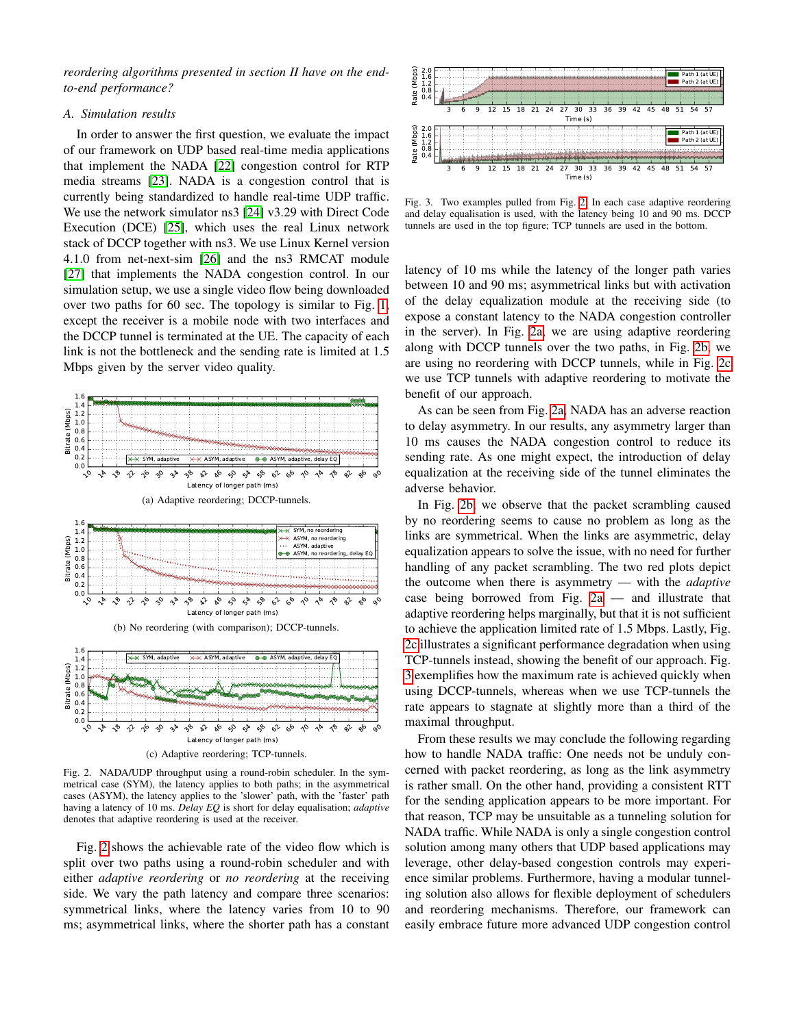*reordering algorithms presented in section II have on the endto-end performance?*

#### *A. Simulation results*

In order to answer the first question, we evaluate the impact of our framework on UDP based real-time media applications that implement the NADA [\[22\]](#page-7-20) congestion control for RTP media streams [\[23\]](#page-7-21). NADA is a congestion control that is currently being standardized to handle real-time UDP traffic. We use the network simulator ns3 [\[24\]](#page-7-22) v3.29 with Direct Code Execution (DCE) [\[25\]](#page-7-23), which uses the real Linux network stack of DCCP together with ns3. We use Linux Kernel version 4.1.0 from net-next-sim [\[26\]](#page-7-24) and the ns3 RMCAT module [\[27\]](#page-7-25) that implements the NADA congestion control. In our simulation setup, we use a single video flow being downloaded over two paths for 60 sec. The topology is similar to Fig. [1,](#page-1-0) except the receiver is a mobile node with two interfaces and the DCCP tunnel is terminated at the UE. The capacity of each link is not the bottleneck and the sending rate is limited at 1.5 Mbps given by the server video quality.

<span id="page-3-2"></span><span id="page-3-1"></span>

<span id="page-3-3"></span><span id="page-3-0"></span>Fig. 2. NADA/UDP throughput using a round-robin scheduler. In the symmetrical case (SYM), the latency applies to both paths; in the asymmetrical cases (ASYM), the latency applies to the 'slower' path, with the 'faster' path having a latency of 10 ms. *Delay EQ* is short for delay equalisation; *adaptive* denotes that adaptive reordering is used at the receiver.

Fig. [2](#page-3-0) shows the achievable rate of the video flow which is split over two paths using a round-robin scheduler and with either *adaptive reordering* or *no reordering* at the receiving side. We vary the path latency and compare three scenarios: symmetrical links, where the latency varies from 10 to 90 ms; asymmetrical links, where the shorter path has a constant



<span id="page-3-4"></span>Fig. 3. Two examples pulled from Fig. [2.](#page-3-0) In each case adaptive reordering and delay equalisation is used, with the latency being 10 and 90 ms. DCCP tunnels are used in the top figure; TCP tunnels are used in the bottom.

latency of 10 ms while the latency of the longer path varies between 10 and 90 ms; asymmetrical links but with activation of the delay equalization module at the receiving side (to expose a constant latency to the NADA congestion controller in the server). In Fig. [2a,](#page-3-1) we are using adaptive reordering along with DCCP tunnels over the two paths, in Fig. [2b,](#page-3-2) we are using no reordering with DCCP tunnels, while in Fig. [2c](#page-3-3) we use TCP tunnels with adaptive reordering to motivate the benefit of our approach.

As can be seen from Fig. [2a,](#page-3-1) NADA has an adverse reaction to delay asymmetry. In our results, any asymmetry larger than 10 ms causes the NADA congestion control to reduce its sending rate. As one might expect, the introduction of delay equalization at the receiving side of the tunnel eliminates the adverse behavior.

In Fig. [2b,](#page-3-2) we observe that the packet scrambling caused by no reordering seems to cause no problem as long as the links are symmetrical. When the links are asymmetric, delay equalization appears to solve the issue, with no need for further handling of any packet scrambling. The two red plots depict the outcome when there is asymmetry — with the *adaptive* case being borrowed from Fig. [2a](#page-3-1) — and illustrate that adaptive reordering helps marginally, but that it is not sufficient to achieve the application limited rate of 1.5 Mbps. Lastly, Fig. [2c](#page-3-3) illustrates a significant performance degradation when using TCP-tunnels instead, showing the benefit of our approach. Fig. [3](#page-3-4) exemplifies how the maximum rate is achieved quickly when using DCCP-tunnels, whereas when we use TCP-tunnels the rate appears to stagnate at slightly more than a third of the maximal throughput.

From these results we may conclude the following regarding how to handle NADA traffic: One needs not be unduly concerned with packet reordering, as long as the link asymmetry is rather small. On the other hand, providing a consistent RTT for the sending application appears to be more important. For that reason, TCP may be unsuitable as a tunneling solution for NADA traffic. While NADA is only a single congestion control solution among many others that UDP based applications may leverage, other delay-based congestion controls may experience similar problems. Furthermore, having a modular tunneling solution also allows for flexible deployment of schedulers and reordering mechanisms. Therefore, our framework can easily embrace future more advanced UDP congestion control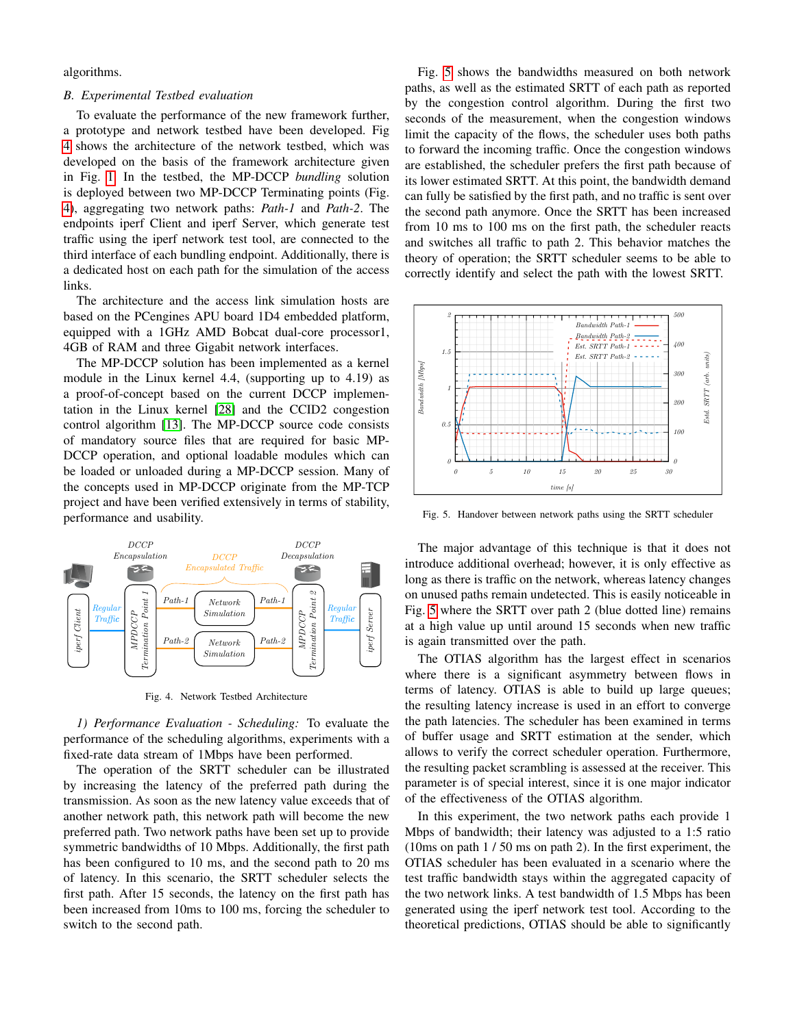algorithms.

# *B. Experimental Testbed evaluation*

To evaluate the performance of the new framework further, a prototype and network testbed have been developed. Fig [4](#page-4-0) shows the architecture of the network testbed, which was developed on the basis of the framework architecture given in Fig. [1.](#page-1-0) In the testbed, the MP-DCCP *bundling* solution is deployed between two MP-DCCP Terminating points (Fig. [4\)](#page-4-0), aggregating two network paths: *Path-1* and *Path-2*. The endpoints iperf Client and iperf Server, which generate test traffic using the iperf network test tool, are connected to the third interface of each bundling endpoint. Additionally, there is a dedicated host on each path for the simulation of the access links.

The architecture and the access link simulation hosts are based on the PCengines APU board 1D4 embedded platform, equipped with a 1GHz AMD Bobcat dual-core processor1, 4GB of RAM and three Gigabit network interfaces.

The MP-DCCP solution has been implemented as a kernel module in the Linux kernel 4.4, (supporting up to 4.19) as a proof-of-concept based on the current DCCP implementation in the Linux kernel [\[28\]](#page-7-26) and the CCID2 congestion control algorithm [\[13\]](#page-7-11). The MP-DCCP source code consists of mandatory source files that are required for basic MP-DCCP operation, and optional loadable modules which can be loaded or unloaded during a MP-DCCP session. Many of the concepts used in MP-DCCP originate from the MP-TCP project and have been verified extensively in terms of stability, performance and usability.



<span id="page-4-0"></span>Fig. 4. Network Testbed Architecture

*1) Performance Evaluation - Scheduling:* To evaluate the performance of the scheduling algorithms, experiments with a fixed-rate data stream of 1Mbps have been performed.

The operation of the SRTT scheduler can be illustrated by increasing the latency of the preferred path during the transmission. As soon as the new latency value exceeds that of another network path, this network path will become the new preferred path. Two network paths have been set up to provide symmetric bandwidths of 10 Mbps. Additionally, the first path has been configured to 10 ms, and the second path to 20 ms of latency. In this scenario, the SRTT scheduler selects the first path. After 15 seconds, the latency on the first path has been increased from 10ms to 100 ms, forcing the scheduler to switch to the second path.

Fig. [5](#page-4-1) shows the bandwidths measured on both network paths, as well as the estimated SRTT of each path as reported by the congestion control algorithm. During the first two seconds of the measurement, when the congestion windows limit the capacity of the flows, the scheduler uses both paths to forward the incoming traffic. Once the congestion windows are established, the scheduler prefers the first path because of its lower estimated SRTT. At this point, the bandwidth demand can fully be satisfied by the first path, and no traffic is sent over the second path anymore. Once the SRTT has been increased from 10 ms to 100 ms on the first path, the scheduler reacts and switches all traffic to path 2. This behavior matches the theory of operation; the SRTT scheduler seems to be able to correctly identify and select the path with the lowest SRTT.



<span id="page-4-1"></span>Fig. 5. Handover between network paths using the SRTT scheduler

The major advantage of this technique is that it does not introduce additional overhead; however, it is only effective as long as there is traffic on the network, whereas latency changes on unused paths remain undetected. This is easily noticeable in Fig. [5](#page-4-1) where the SRTT over path 2 (blue dotted line) remains at a high value up until around 15 seconds when new traffic is again transmitted over the path.

The OTIAS algorithm has the largest effect in scenarios where there is a significant asymmetry between flows in terms of latency. OTIAS is able to build up large queues; the resulting latency increase is used in an effort to converge the path latencies. The scheduler has been examined in terms of buffer usage and SRTT estimation at the sender, which allows to verify the correct scheduler operation. Furthermore, the resulting packet scrambling is assessed at the receiver. This parameter is of special interest, since it is one major indicator of the effectiveness of the OTIAS algorithm.

In this experiment, the two network paths each provide 1 Mbps of bandwidth; their latency was adjusted to a 1:5 ratio (10ms on path 1 / 50 ms on path 2). In the first experiment, the OTIAS scheduler has been evaluated in a scenario where the test traffic bandwidth stays within the aggregated capacity of the two network links. A test bandwidth of 1.5 Mbps has been generated using the iperf network test tool. According to the theoretical predictions, OTIAS should be able to significantly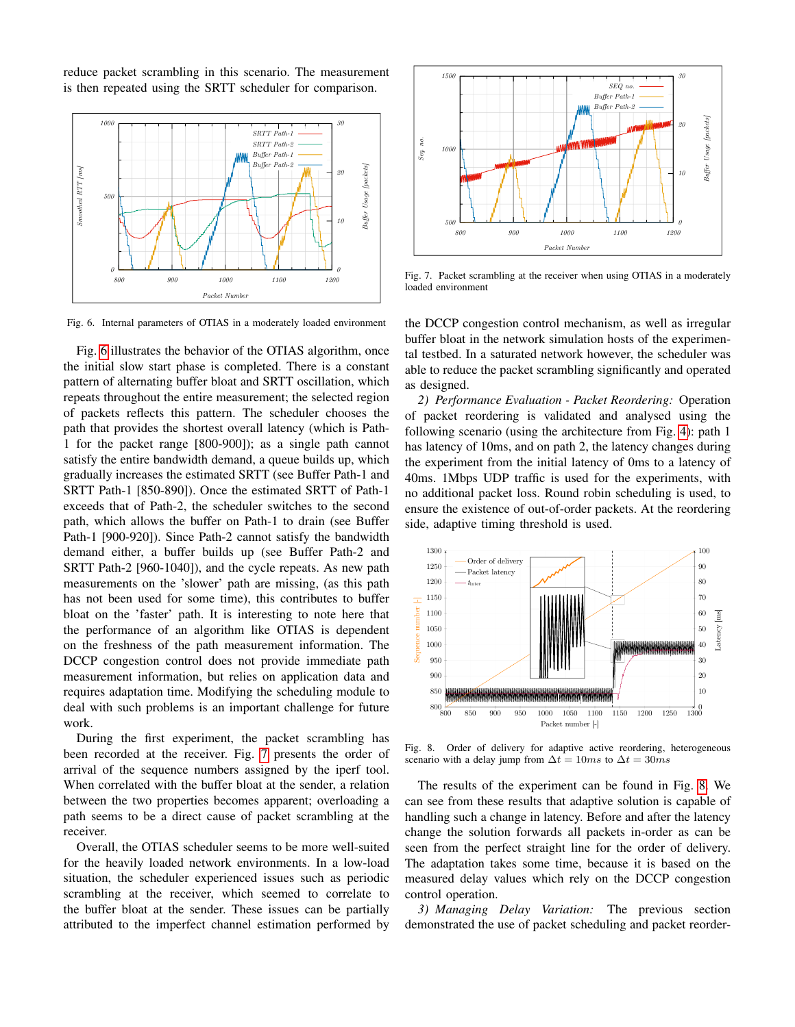reduce packet scrambling in this scenario. The measurement is then repeated using the SRTT scheduler for comparison.



<span id="page-5-0"></span>Fig. 6. Internal parameters of OTIAS in a moderately loaded environment

Fig. [6](#page-5-0) illustrates the behavior of the OTIAS algorithm, once the initial slow start phase is completed. There is a constant pattern of alternating buffer bloat and SRTT oscillation, which repeats throughout the entire measurement; the selected region of packets reflects this pattern. The scheduler chooses the path that provides the shortest overall latency (which is Path-1 for the packet range [800-900]); as a single path cannot satisfy the entire bandwidth demand, a queue builds up, which gradually increases the estimated SRTT (see Buffer Path-1 and SRTT Path-1 [850-890]). Once the estimated SRTT of Path-1 exceeds that of Path-2, the scheduler switches to the second path, which allows the buffer on Path-1 to drain (see Buffer Path-1 [900-920]). Since Path-2 cannot satisfy the bandwidth demand either, a buffer builds up (see Buffer Path-2 and SRTT Path-2 [960-1040]), and the cycle repeats. As new path measurements on the 'slower' path are missing, (as this path has not been used for some time), this contributes to buffer bloat on the 'faster' path. It is interesting to note here that the performance of an algorithm like OTIAS is dependent on the freshness of the path measurement information. The DCCP congestion control does not provide immediate path measurement information, but relies on application data and requires adaptation time. Modifying the scheduling module to deal with such problems is an important challenge for future work.

During the first experiment, the packet scrambling has been recorded at the receiver. Fig. [7](#page-5-1) presents the order of arrival of the sequence numbers assigned by the iperf tool. When correlated with the buffer bloat at the sender, a relation between the two properties becomes apparent; overloading a path seems to be a direct cause of packet scrambling at the receiver.

Overall, the OTIAS scheduler seems to be more well-suited for the heavily loaded network environments. In a low-load situation, the scheduler experienced issues such as periodic scrambling at the receiver, which seemed to correlate to the buffer bloat at the sender. These issues can be partially attributed to the imperfect channel estimation performed by



<span id="page-5-1"></span>Fig. 7. Packet scrambling at the receiver when using OTIAS in a moderately loaded environment

the DCCP congestion control mechanism, as well as irregular buffer bloat in the network simulation hosts of the experimental testbed. In a saturated network however, the scheduler was able to reduce the packet scrambling significantly and operated as designed.

*2) Performance Evaluation - Packet Reordering:* Operation of packet reordering is validated and analysed using the following scenario (using the architecture from Fig. [4\)](#page-4-0): path 1 has latency of 10ms, and on path 2, the latency changes during the experiment from the initial latency of 0ms to a latency of 40ms. 1Mbps UDP traffic is used for the experiments, with no additional packet loss. Round robin scheduling is used, to ensure the existence of out-of-order packets. At the reordering side, adaptive timing threshold is used.



<span id="page-5-2"></span>Fig. 8. Order of delivery for adaptive active reordering, heterogeneous scenario with a delay jump from  $\Delta t = 10ms$  to  $\Delta t = 30ms$ 

The results of the experiment can be found in Fig. [8.](#page-5-2) We can see from these results that adaptive solution is capable of handling such a change in latency. Before and after the latency change the solution forwards all packets in-order as can be seen from the perfect straight line for the order of delivery. The adaptation takes some time, because it is based on the measured delay values which rely on the DCCP congestion control operation.

*3) Managing Delay Variation:* The previous section demonstrated the use of packet scheduling and packet reorder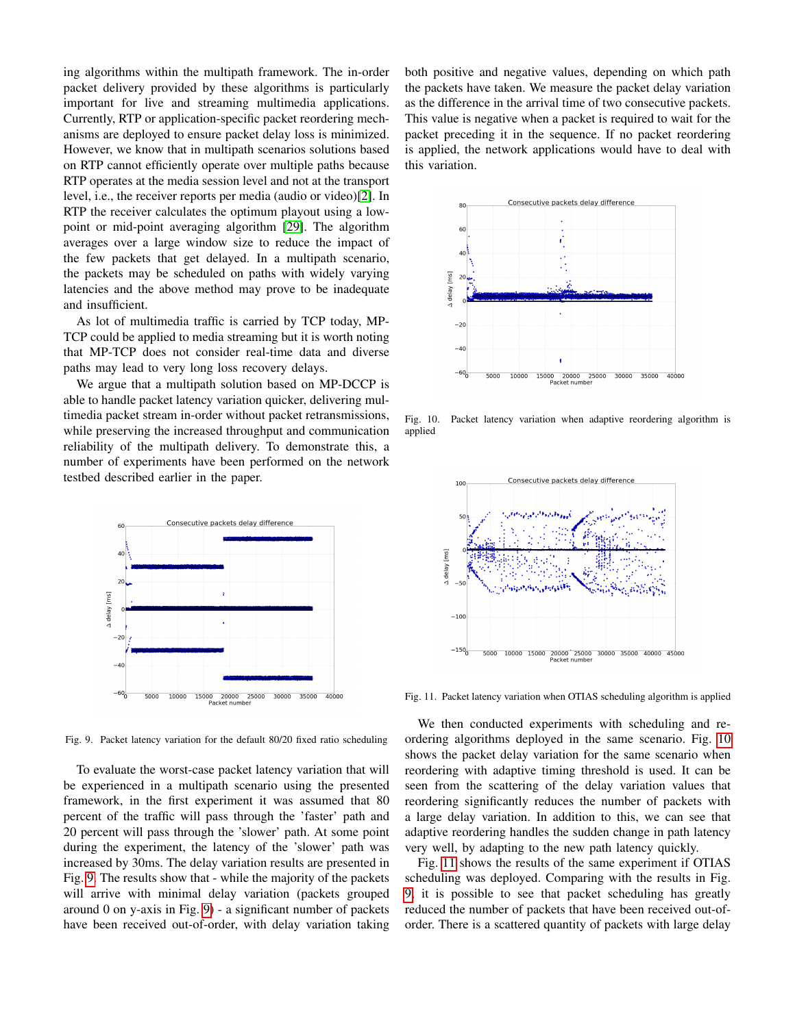ing algorithms within the multipath framework. The in-order packet delivery provided by these algorithms is particularly important for live and streaming multimedia applications. Currently, RTP or application-specific packet reordering mechanisms are deployed to ensure packet delay loss is minimized. However, we know that in multipath scenarios solutions based on RTP cannot efficiently operate over multiple paths because RTP operates at the media session level and not at the transport level, i.e., the receiver reports per media (audio or video)[\[2\]](#page-7-1). In RTP the receiver calculates the optimum playout using a lowpoint or mid-point averaging algorithm [\[29\]](#page-7-27). The algorithm averages over a large window size to reduce the impact of the few packets that get delayed. In a multipath scenario, the packets may be scheduled on paths with widely varying latencies and the above method may prove to be inadequate and insufficient.

As lot of multimedia traffic is carried by TCP today, MP-TCP could be applied to media streaming but it is worth noting that MP-TCP does not consider real-time data and diverse paths may lead to very long loss recovery delays.

We argue that a multipath solution based on MP-DCCP is able to handle packet latency variation quicker, delivering multimedia packet stream in-order without packet retransmissions, while preserving the increased throughput and communication reliability of the multipath delivery. To demonstrate this, a number of experiments have been performed on the network testbed described earlier in the paper.



<span id="page-6-0"></span>Fig. 9. Packet latency variation for the default 80/20 fixed ratio scheduling

To evaluate the worst-case packet latency variation that will be experienced in a multipath scenario using the presented framework, in the first experiment it was assumed that 80 percent of the traffic will pass through the 'faster' path and 20 percent will pass through the 'slower' path. At some point during the experiment, the latency of the 'slower' path was increased by 30ms. The delay variation results are presented in Fig. [9.](#page-6-0) The results show that - while the majority of the packets will arrive with minimal delay variation (packets grouped around 0 on y-axis in Fig. [9\)](#page-6-0) - a significant number of packets have been received out-of-order, with delay variation taking both positive and negative values, depending on which path the packets have taken. We measure the packet delay variation as the difference in the arrival time of two consecutive packets. This value is negative when a packet is required to wait for the packet preceding it in the sequence. If no packet reordering is applied, the network applications would have to deal with this variation.



<span id="page-6-1"></span>Fig. 10. Packet latency variation when adaptive reordering algorithm is applied



<span id="page-6-2"></span>Fig. 11. Packet latency variation when OTIAS scheduling algorithm is applied

We then conducted experiments with scheduling and reordering algorithms deployed in the same scenario. Fig. [10](#page-6-1) shows the packet delay variation for the same scenario when reordering with adaptive timing threshold is used. It can be seen from the scattering of the delay variation values that reordering significantly reduces the number of packets with a large delay variation. In addition to this, we can see that adaptive reordering handles the sudden change in path latency very well, by adapting to the new path latency quickly.

Fig. [11](#page-6-2) shows the results of the same experiment if OTIAS scheduling was deployed. Comparing with the results in Fig. [9,](#page-6-0) it is possible to see that packet scheduling has greatly reduced the number of packets that have been received out-oforder. There is a scattered quantity of packets with large delay